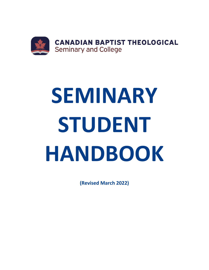

# **SEMINARY STUDENT HANDBOOK**

**(Revised March 2022)**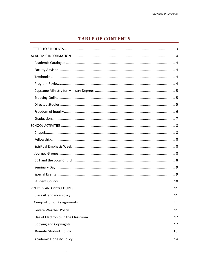# **TABLE OF CONTENTS**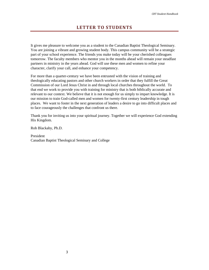<span id="page-3-0"></span>It gives me pleasure to welcome you as a student to the Canadian Baptist Theological Seminary. You are joining a vibrant and growing student body. This campus community will be a strategic part of your school experience. The friends you make today will be your cherished colleagues tomorrow. The faculty members who mentor you in the months ahead will remain your steadfast partners in ministry in the years ahead. God will use these men and women to refine your character, clarify your call, and enhance your competency.

For more than a quarter-century we have been entrusted with the vision of training and theologically educating pastors and other church workers in order that they fulfill the Great Commission of our Lord Jesus Christ in and through local churches throughout the world. To that end we work to provide you with training for ministry that is both biblically accurate and relevant to our context. We believe that it is not enough for us simply to impart knowledge. It is our mission to train God-called men and women for twenty-first century leadership in tough places. We want to foster in the next generation of leaders a desire to go into difficult places and to face courageously the challenges that confront us there.

Thank you for inviting us into your spiritual journey. Together we will experience God extending His Kingdom.

Rob Blackaby, Ph.D.

President Canadian Baptist Theological Seminary and College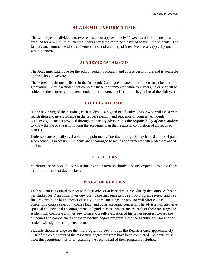# **ACADEMIC INFORMATION**

<span id="page-4-0"></span>The school year is divided into two semesters of approximately 15 weeks each. Students must be enrolled for a minimum of ten credit hours per semester to be classified as full-time students. The January and summer sessions (J-Terms) consist of a variety of intensive classes, typically one week in length.

# **ACADEMIC CATALOGUE**

<span id="page-4-1"></span>The Academic Catalogue for the school contains program and course descriptions and is available on the school's website.

The degree requirements listed in the Academic Catalogue at date of enrollment must be met for graduation. Should a student not complete these requirements within four years, he or she will be subject to the degree requirements under the catalogue in effect at the beginning of the fifth year.

# **FACULTY ADVISOR**

<span id="page-4-2"></span>At the beginning of their studies, each student is assigned to a faculty advisor who will assist with registration and give guidance in the proper selection and sequence of courses. Although academic guidance is provided through the faculty advisor, *it is the responsibility of each student* to know that he or she is following the academic plan that results in completion of all required courses.

Professors are typically available for appointments Tuesday through Friday from 8 a.m. to 4 p.m. when school is in session. Students are encouraged to make appointments with professors ahead of time.

#### **TEXTBOOKS**

<span id="page-4-4"></span><span id="page-4-3"></span>Students are responsible for purchasing their own textbooks and are expected to have them in hand on the first day of class.

#### **PROGRAM REVIEWS**

Each student is required to meet with their advisor at least three times during the course of his or her studies for 1) an initial interview during the first semester, 2) a mid-program review, and 3) a final review in the last semester of study. In these meetings the advisor will offer counsel concerning course selection, course load, and other academic concerns. The advisor will also give spiritual and personal encouragement and guidance as appropriate. At each of these meetings the student will complete an interview form and a self-evaluation of his or her progress toward the outcomes and competencies of the respective degree program. Both the Faculty Advisor and the student will sign the completed forms.

Students should arrange for the mid-program review through the Registrar once approximately 50% of the credit hours of the respective degree program have been completed. Students must meet this requirement prior to resuming the second half of their program of studies.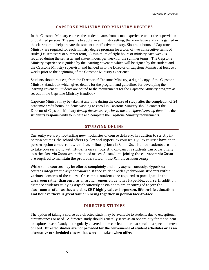# **CAPSTONE MINISTRY FOR MINISTRY DEGREES**

<span id="page-5-0"></span>In the Capstone Ministry courses the student learns from actual experience under the supervision of qualified persons. The goal is to apply, in a ministry setting, the knowledge and skills gained in the classroom to help prepare the student for effective ministry. Six credit hours of Capstone Ministry are required for each ministry degree program for a total of two consecutive terms of study (i.e. semesters or summer term). A minimum of eight hours of ministry each week is required during the semester and sixteen hours per week for the summer terms. The Capstone Ministry experience is guided by the learning covenant which will be signed by the student and the Capstone Ministry supervisor and handed in to the Director of Capstone Ministry at least two weeks prior to the beginning of the Capstone Ministry experience.

Students should request, from the Director of Capstone Ministry, a digital copy of the Capstone Ministry Handbook which gives details for the program and guidelines for developing the learning covenant. Students are bound to the requirements for the Capstone Ministry program as set out in the Capstone Ministry Handbook.

Capstone Ministry may be taken at any time during the course of study after the completion of 24 academic credit hours. Students wishing to enroll in Capstone Ministry should contact the Director of Capstone Ministry *during the semester prior to the anticipated starting date*. It is the **student's responsibility** to initiate and complete the Capstone Ministry requirements.

# **STUDYING ONLINE**

<span id="page-5-2"></span><span id="page-5-1"></span>Currently we are pilot-testing new modalities of course delivery. In addition to strictly inperson courses, the school offers HyFlex and HyperFlex courses. HyFlex courses have an inperson option concurrent with a live, online option via Zoom. So, distance students are able to take courses along with students on campus. And on-campus students can occasionally join the class via Zoom when the need arises. All students joining the classroom via Zoom are required to maintain the protocols stated in the *Remote Student Policy*.

While some courses may be offered completely and only asynchronously, HyperFlex courses integrate the asynchronous distance student with synchronous students within various elements of the course. On-campus students are required to participate in the classroom rather than enrol as an asynchronous student in a HyperFlex course. In addition, distance students studying asynchronously or via Zoom are encouraged to join the classroom as often as they are able. **CBT highly values in-person, life-on-life education and believe there is great value in being together in person face-to-face.**

# **DIRECTED STUDIES**

The option of taking a course as a directed study may be available to students due to exceptional circumstances or need. A directed study should generally serve as an opportunity for the student to explore areas of study not regularly covered in the curriculum or that speak to a special interest or need. **Directed studies are not provided for the convenience of student schedules or as an alternative to scheduled classes that were not taken when offered.**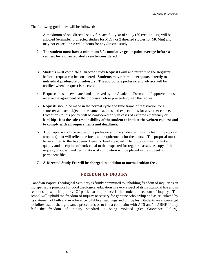The following guidelines will be followed:

- 1. A maximum of one directed study for each full year of study (30 credit hours) will be allowed (example: 3 directed studies for MDiv or 2 directed studies for MCMin) and may not exceed three credit hours for any directed study.
- 2. **The student must have a minimum 3.0 cumulative grade point average before a request for a directed study can be considered.**
- 3. Students must complete a Directed Study Request Form and return it to the Registrar before a request can be considered. **Students may not make requests directly to individual professors or advisors.** The appropriate professor and advisor will be notified when a request is received.
- 4. Requests must be evaluated and approved by the Academic Dean and, if approved, must receive the agreement of the professor before proceeding with the request.
- 5. Requests should be made in the normal cycle and time frame of registration for a semester and are subject to the same deadlines and expectations for any other course. Exceptions to this policy will be considered only in cases of extreme emergency or hardship. **It is the sole responsibility of the student to initiate the written request and to comply with all requirements and deadlines.**
- 6. Upon approval of the request, the professor and the student will draft a learning proposal (contract) that will reflect the focus and requirements for the course. The proposal must be submitted to the Academic Dean for final approval. The proposal must reflect a quality and discipline of work equal to that expected for regular classes. A copy of the request, proposal, and certification of completion will be placed in the student's permanent file.
- <span id="page-6-0"></span>7. **A Directed Study Fee will be charged in addition to normal tuition fees.**

# **FREEDOM OF INQUIRY**

Canadian Baptist Theological Seminary is firmly committed to upholding freedom of inquiry as an indispensable principle for good theological education in every aspect of its institutional life and in relationship with its public. Of particular importance is the student's freedom of inquiry. The school will uphold the freedom of inquiry necessary for genuine scholarship and as articulated by its statement of faith and in adherence to biblical teachings and principles. Students are encouraged to follow established grievance procedures or to file a complaint with ATS and/or ABHE if they feel the freedom of inquiry standard is being violated (See Grievance Policy).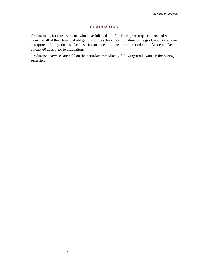## **GRADUATION**

<span id="page-7-0"></span>Graduation is for those students who have fulfilled all of their program requirements and who have met all of their financial obligations to the school. Participation in the graduation ceremony is required of all graduates. Requests for an exception must be submitted to the Academic Dean at least 60 days prior to graduation.

Graduation exercises are held on the Saturday immediately following final exams in the Spring semester.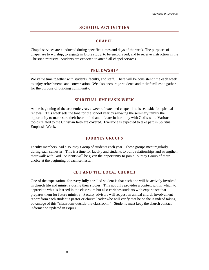# **SCHOOL ACTIVITIES**

# **CHAPEL**

<span id="page-8-1"></span><span id="page-8-0"></span>Chapel services are conducted during specified times and days of the week. The purposes of chapel are to worship, to engage in Bible study, to be encouraged, and to receive instruction in the Christian ministry. Students are expected to attend all chapel services.

# **FELLOWSHIP**

<span id="page-8-2"></span>We value time together with students, faculty, and staff. There will be consistent time each week to enjoy refreshments and conversation. We also encourage students and their families to gather for the purpose of building community.

# **SPIRITUAL EMPHASIS WEEK**

<span id="page-8-3"></span>At the beginning of the academic year, a week of extended chapel time is set aside for spiritual renewal. This week sets the tone for the school year by allowing the seminary family the opportunity to make sure their heart, mind and life are in harmony with God's will. Various topics related to the Christian faith are covered. Everyone is expected to take part in Spiritual Emphasis Week.

# **JOURNEY GROUPS**

<span id="page-8-4"></span>Faculty members lead a Journey Group of students each year. These groups meet regularly during each semester. This is a time for faculty and students to build relationships and strengthen their walk with God. Students will be given the opportunity to join a Journey Group of their choice at the beginning of each semester.

# **CBT AND THE LOCAL CHURCH**

<span id="page-8-5"></span>One of the expectations for every fully enrolled student is that each one will be actively involved in church life and ministry during their studies. This not only provides a context within which to appreciate what is learned in the classroom but also enriches students with experience that prepares them for future ministry. Faculty advisors will request an annual church involvement report from each student's pastor or church leader who will verify that he or she is indeed taking advantage of this "classroom-outside-the-classroom." Students must keep the church contact information updated in Populi.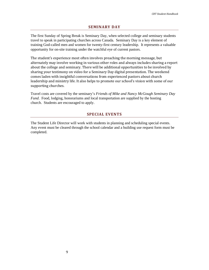#### **SEMINARY DAY**

<span id="page-9-0"></span>The first Sunday of Spring Break is Seminary Day, when selected college and seminary students travel to speak in participating churches across Canada. Seminary Day is a key element of training God-called men and women for twenty-first century leadership. It represents a valuable opportunity for on-site training under the watchful eye of current pastors.

The student's experience most often involves preaching the morning message, but alternately may involve working in various other roles and always includes sharing a report about the college and seminary. There will be additional opportunities to be involved by sharing your testimony on video for a Seminary Day digital presentation. The weekend comes laden with insightful conversations from experienced pastors about church leadership and ministry life. It also helps to promote our school's vision with some of our supporting churches.

Travel costs are covered by the seminary's *Friends of Mike and Nancy McGough Seminary Day Fund*. Food, lodging, honorariums and local transportation are supplied by the hosting church. Students are encouraged to apply.

#### **SPECIAL EVENTS**

<span id="page-9-1"></span>The Student Life Director will work with students in planning and scheduling special events. Any event must be cleared through the school calendar and a building use request form must be completed.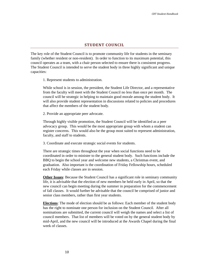# **STUDENT COUNCIL**

<span id="page-10-0"></span>The key role of the Student Council is to promote community life for students in the seminary family (whether resident or non-resident). In order to function to its maximum potential, this council operates as a team, with a chair person selected to ensure there is consistent progress. The Student Council is intended to serve the student body in three highly significant and unique capacities:

1. Represent students to administration.

While school is in session, the president, the Student Life Director, and a representative from the faculty will meet with the Student Council no less than once per month. The council will be strategic in helping to maintain good morale among the student body. It will also provide student representation in discussions related to policies and procedures that affect the members of the student body.

2. Provide an appropriate peer advocate.

Through highly visible promotion, the Student Council will be identified as a peer advocacy group. This would be the most appropriate group with whom a student can register concerns. This would also be the group most suited to represent administration, faculty, and staff to students.

3. Coordinate and execute strategic social events for students.

There are strategic times throughout the year when social functions need to be coordinated in order to minister to the general student body. Such functions include the BBQ to begin the school year and welcome new students, a Christmas event, and graduation. Also important is the coordination of Friday Fellowship hours, scheduled each Friday while classes are in session.

**Other Issues**: Because the Student Council has a significant role in seminary community life, it is advisable that the election of new members be held early in April, so that the new council can begin meeting during the summer in preparation for the commencement of fall classes. It would further be advisable that the council be comprised of junior and senior class members, rather than first year students.

**Elections**: The mode of election should be as follows: Each member of the student body has the right to nominate one person for inclusion on the Student Council. After all nominations are submitted, the current council will weigh the names and select a list of council members. That list of members will be voted on by the general student body by mid-April, and the new council will be introduced at the Awards Chapel during the final week of classes.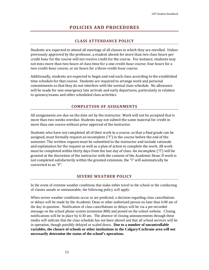# **POLICIES AND PROCEDURES**

# **CLASS ATTENDANCE POLICY**

<span id="page-11-1"></span><span id="page-11-0"></span>Students are expected to attend all meetings of all classes in which they are enrolled. Unless previously approved by the professor, a student absent for more than two class hours per credit hour for the course will not receive credit for the course. For instance, students may not miss more than two hours of class time for a one-credit-hour course; four hours for a two-credit-hour course, or six hours for a three-credit-hour course.

Additionally, students are expected to begin and end each class according to the established time schedule for that course. Students are required to arrange work and personal commitments so that they do not interfere with the normal class schedule. No allowance will be made for non-emergency late arrivals and early departures, particularly in relation to quizzes/exams and other scheduled class activities.

# **COMPLETION OF ASSIGNMENTS**

<span id="page-11-2"></span>All assignments are due on the date set by the instructor. Work will not be accepted that is more than two weeks overdue. Students may not submit the same material for credit in more than one course without prior approval of the instructor.

Students who have not completed all of their work in a course, so that a final grade can be assigned, must formally request an incomplete ("I") in the course before the end of the semester. The written request must be submitted to the instructor and include rationale and explanation for the request as well as a plan of action to complete the work. All work must be completed within thirty days from the last day of class. An incomplete ("I") will be granted at the discretion of the instructor with the consent of the Academic Dean. If work is not completed satisfactorily within the granted extension, the "I" will automatically be converted to an "F".

# **SEVERE WEATHER POLICY**

In the event of extreme weather conditions that make either travel to the school or the conducting of classes unsafe or unreasonable, the following policy will apply:

When severe weather conditions occur or are predicted, a decision regarding class cancellations or delays will be made by the Academic Dean or other authorized person no later than 6:00 am of the day in question. Notification of class cancellations or delays will be via a pre-recorded message on the school phone system (extension 800) and posted on the school website. Closing notifications will be in place by 6:30 am. The absence of closing announcements through these media will indicate that the class schedule has not been altered and that all school services will be in operation, though possibly delayed or scaled down. **Due to a number of uncontrollable variables, the closure of schools or other institutions in the Calgary/Cochrane area will not necessarily determine the status of the school's operations.**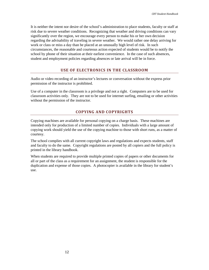It is neither the intent nor desire of the school's administration to place students, faculty or staff at risk due to severe weather conditions. Recognizing that weather and driving conditions can vary significantly over the region, we encourage every person to make his or her own decision regarding the advisability of traveling in severe weather. We would rather one delay arriving for work or class or miss a day than be placed at an unusually high level of risk. In such circumstances, the reasonable and courteous action expected of students would be to notify the school by phone of their situation at their earliest convenience. In the case of such absences, student and employment policies regarding absences or late arrival will be in force.

# **USE OF ELECTRONICS IN THE CLASSROOM**

<span id="page-12-0"></span>Audio or video recording of an instructor's lectures or conversation without the express prior permission of the instructor is prohibited.

Use of a computer in the classroom is a privilege and not a right. Computers are to be used for classroom activities only. They are not to be used for internet surfing, emailing or other activities without the permission of the instructor.

# **COPYING AND COPYRIGHTS**

<span id="page-12-1"></span>Copying machines are available for personal copying on a charge basis. These machines are intended only for production of a limited number of copies. Individuals with a large amount of copying work should yield the use of the copying machine to those with short runs, as a matter of courtesy.

The school complies with all current copyright laws and regulations and expects students, staff and faculty to do the same. Copyright regulations are posted by all copiers and the full policy is printed in the library handbook.

When students are required to provide multiple printed copies of papers or other documents for all or part of the class as a requirement for an assignment, the student is responsible for the duplication and expense of those copies. A photocopier is available in the library for student's use.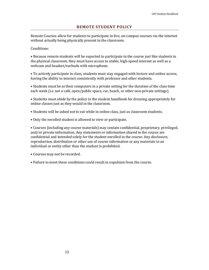## **REMOTE STUDENT POLICY**

Remote Courses allow for students to participate in live, on-campus courses via the internet without actually being physically present in the classroom.

Conditions:

• Because remote students will be expected to participate in the course just like students in the physical classroom, they must have access to stable, high-speed internet as well as a webcam and headset/earbuds with microphone.

• To actively participate in class, students must stay engaged with lecture and online access, having the ability to interact consistently with professor and other students.

• Students must be at their computers in a private setting for the duration of the class time each week (i.e. not a café, open/public space, car, beach, or other non-private settings).

• Students must abide by the policy in the student handbook for dressing appropriately for online classes just as they would in the classroom.

- Students will be asked not to eat while in online class, just as classroom students.
- Only the enrolled student is allowed to view or participate.

• Courses (including any course materials) may contain confidential, proprietary, privileged, and/or private information. Any statements or information shared in the course are confidential and intended solely for the student enrolled in the course. Any disclosure, reproduction, distribution or other use of course information or any materials to an individual or entity other than the student is prohibited.

- Courses may not be recorded.
- Failure to meet these conditions could result in expulsion from the course.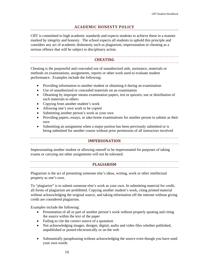# **ACADEMIC HONESTY POLICY**

<span id="page-14-0"></span>CBT is committed to high academic standards and expects students to achieve these in a manner marked by integrity and honesty. The school expects all students to uphold this principle and considers any act of academic dishonesty such as plagiarism, impersonation or cheating as a serious offence that will be subject to disciplinary action.

# **CHEATING**

<span id="page-14-1"></span>Cheating is the purposeful and concealed use of unauthorized aids, assistance, materials or methods on examinations, assignments, reports or other work used to evaluate student performance. Examples include the following:

- Providing information to another student or obtaining it during an examination
- Use of unauthorized or concealed materials on an examination
- Obtaining by improper means examination papers, test or quizzes; use or distribution of such materials to others
- Copying from another student's work
- Allowing one's own work to be copied
- Submitting another person's work as your own
- Providing papers, essays, or take-home examinations for another person to submit as their own
- <span id="page-14-2"></span>• Submitting an assignment when a major portion has been previously submitted or is being submitted for another course without prior permission of all instructors involved

# **IMPERSONATION**

<span id="page-14-3"></span>Impersonating another student or allowing oneself to be impersonated for purposes of taking exams or carrying out other assignments will not be tolerated.

# **PLAGIARISM**

Plagiarism is the act of presenting someone else's ideas, writing, work or other intellectual property as one's own.

To "plagiarize" is to submit someone else's work as your own. In submitting material for credit, all forms of plagiarism are prohibited. Copying another student's work, citing printed material without acknowledging the original source, and taking information off the internet without giving credit are considered plagiarism.

Examples include the following:

- Presentation of all or part of another person's work without properly quoting and citing the source within the text of the paper
- Failing to cite the correct source of a quotation
- Not acknowledging images, designs, digital, audio and video files whether published, unpublished or posted electronically or on the web
- Substantially paraphrasing without acknowledging the source even though you have used your own words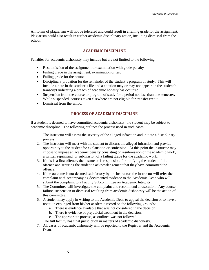<span id="page-15-0"></span>All forms of plagiarism will not be tolerated and could result in a failing grade for the assignment. Plagiarism could also result in further academic disciplinary action, including dismissal from the school.

## **ACADEMIC DISCIPLINE**

Penalties for academic dishonesty may include but are not limited to the following:

- Resubmission of the assignment or examination with grade penalty
- Failing grade in the assignment, examination or test
- Failing grade for the course
- Disciplinary probation for the remainder of the student's program of study. This will include a note in the student's file and a notation may or may not appear on the student's transcript indicating a breach of academic honesty has occurred.
- Suspension from the course or program of study for a period not less than one semester. While suspended, courses taken elsewhere are not eligible for transfer credit.
- <span id="page-15-1"></span>• Dismissal from the school

### **PROCESS OF ACADEMIC DISCIPLINE**

If a student is deemed to have committed academic dishonesty, the student may be subject to academic discipline. The following outlines the process used in such cases:

- 1. The instructor will assess the severity of the alleged infraction and initiate a disciplinary process.
- 2. The instructor will meet with the student to discuss the alleged infraction and provide opportunity to the student for explanation or confession. At this point the instructor may choose to impose an academic penalty consisting of resubmission of the academic work, a written reprimand, or submission of a failing grade for the academic work.
- 3. If this is a first offence, the instructor is responsible for notifying the student of the offence and securing the student's acknowledgement that they have committed the offence.
- 4. If the outcome is not deemed satisfactory by the instructor, the instructor will refer the complaint with accompanying documented evidence to the Academic Dean who will submit the complaint to a Faculty Subcommittee on Academic Integrity.
- 5. The Committee will investigate the complaint and recommend a resolution. Any course failure, suspension or dismissal resulting from academic dishonesty will be the action of this committee.
- 6. A student may apply in writing to the Academic Dean to appeal the decision or to have a notation expunged from his/her academic record on the following grounds:
	- a. There is evidence available that was not considered in the decision.
	- b. There is evidence of prejudicial treatment in the decision.
	- c. The appropriate process, as outlined was not followed.

The full faculty has final jurisdiction in matters of academic dishonesty.

7. All cases of academic dishonesty will be reported to the Registrar and the Academic Dean.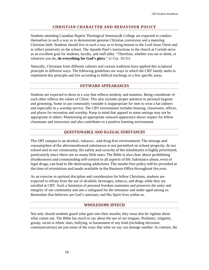# **CHRISTIAN CHARACTER AND BEHAVIOUR POLICY**

<span id="page-16-0"></span>Students attending Canadian Baptist Theological Seminary& College are expected to conduct themselves in such a way as to demonstrate genuine Christian conversion and a maturing Christian faith. Students should live in such a way as to bring honour to the Lord Jesus Christ and to reflect positively on the school. The Apostle Paul's instructions to the church at Corinth serve as an excellent goal for students, faculty, and staff alike. "Therefore, whether you eat or drink, or whatever you do, **do everything for God's glory**." (1 Cor. 10:31)

Naturally, Christians from different cultures and various traditions have applied this scriptural principle in different ways. The following guidelines are ways in which the CBT family seeks to implement this principle and live according to biblical teachings in a few specific areas.

#### **OUTWARD APPEARANCES**

<span id="page-16-1"></span>Students are expected to dress in a way that reflects modesty and neatness. Being considerate of each other reflects the values of Christ. This also includes proper attention to personal hygiene and grooming. Some in our community consider it inappropriate for men to wear a hat indoors and especially in a worship service. The CBT environment includes housing, classrooms, offices, and places for recreation and worship. Keep in mind that apparel in some settings may not be appropriate in others. Maintaining an appropriate outward appearance shows respect for fellow classmates and instructors and also contributes to a positive learning environment.

#### **QUESTIONABLE AND ILLEGAL SUBSTANCES**

<span id="page-16-2"></span>The CBT campus is an alcohol-, tobacco-, and drug-free environment. The storage and consumption of the aforementioned substances is not permitted on school property. At our school and in our community, the safety and security of the inhabitants is highly prioritized, particularly since there are so many little ones. The Bible is also clear about prohibiting drunkenness and commanding self-control in all aspects of life. Substance abuse, even of legal drugs, can lead to life-destroying addictions. The smoke-free policy will be provided at the time of orientation and made available in the Business Office throughout the year.

As an exercise in spiritual discipline and consideration for fellow Christians, students are expected to refrain from the use of alcoholic beverages, tobacco, and drugs while they are enrolled at CBT. Such a limitation of personal freedom maintains and preserves the unity and integrity of our community and sets a safeguard for the immature and under-aged among us. Remember that believers are God's sanctuary and His Spirit lives within us.

#### **WHOLESOME SPEECH**

<span id="page-16-3"></span>Not only should students guard what goes into their mouths; they must also be vigilant about what comes out. The Bible has much to say about the use of our tongues. Profanity, vulgarity, gossip, racial or ethnic slurs, bullying, or harassment of any kind (including electronic communications) are just some of the ways that what we say can damage another. In contrast, the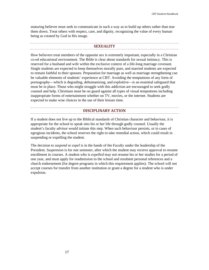maturing believer must seek to communicate in such a way as to build up others rather than tear them down. Treat others with respect, care, and dignity, recognizing the value of every human being as created by God in His image.

#### **SEXUALITY**

<span id="page-17-0"></span>How believers treat members of the opposite sex is extremely important, especially in a Christian co-ed educational environment. The Bible is clear about standards for sexual intimacy. This is reserved for a husband and wife within the exclusive context of a life-long marriage covenant. Single students are expected to keep themselves morally pure, and married students are expected to remain faithful to their spouses. Preparation for marriage as well as marriage strengthening can be valuable elements of students' experience at CBT. Avoiding the temptations of any form of pornography—which is degrading, dehumanizing, and exploitive—is an essential safeguard that must be in place. Those who might struggle with this addiction are encouraged to seek godly counsel and help. Christians must be on guard against all types of visual temptations including inappropriate forms of entertainment whether on TV, movies, or the internet. Students are expected to make wise choices in the use of their leisure time.

#### **DISCIPLINARY ACTION**

<span id="page-17-1"></span>If a student does not live up to the Biblical standards of Christian character and behaviour, it is appropriate for the school to speak into his or her life through godly counsel. Usually the student's faculty advisor would initiate this step. When such behaviour persists, or in cases of egregious incidents, the school reserves the right to take remedial action, which could result in suspending or expelling the student.

The decision to *suspend* or *expel* is in the hands of the Faculty under the leadership of the President. *Suspension* is for one semester, after which the student may receive approval to resume enrollment in courses. A student who is *expelled* may not resume his or her studies for a period of one year, and must apply for readmission to the school and resubmit personal references and a church endorsement (for degree programs in which this requirement applies). The school will not accept courses for transfer from another institution or grant a degree for a student who is under expulsion.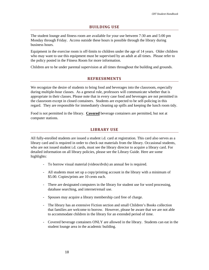#### **BUILDING USE**

<span id="page-18-0"></span>The student lounge and fitness room are available for your use between 7:30 am and 5:00 pm Monday through Friday. Access outside these hours is possible through the library during business hours.

Equipment in the exercise room is off-limits to children under the age of 14 years. Older children who may want to use this equipment must be supervised by an adult at all times. Please refer to the policy posted in the Fitness Room for more information.

<span id="page-18-1"></span>Children are to be under parental supervision at all times throughout the building and grounds.

# **REFRESHMENTS**

We recognize the desire of students to bring food and beverages into the classroom, especially during multiple-hour classes. As a general rule, professors will communicate whether that is appropriate in their classes. Please note that in every case food and beverages are not permitted in the classroom except in closed containers. Students are expected to be self-policing in this regard. They are responsible for immediately cleaning up spills and keeping the lunch room tidy.

<span id="page-18-2"></span>Food is not permitted in the library. **Covered** beverage containers are permitted, but not at computer stations.

# **LIBRARY USE**

All fully-enrolled students are issued a student i.d. card at registration. This card also serves as a library card and is required in order to check out materials from the library. Occasional students, who are not issued student i.d. cards, must see the library director to acquire a library card. For detailed information on all library policies, please see the Library Guide. Here are some highlights:

- To borrow visual material (videos/dvds) an annual fee is required.
- All students must set up a copy/printing account in the library with a minimum of \$5.00. Copies/prints are 10 cents each.
- There are designated computers in the library for student use for word processing, database searching, and internet/email use.
- Spouses may acquire a library membership card free of charge.
- The library has an extensive Fiction section and small Children's Books collection that families are welcome to borrow. However, please be aware that we are not able to accommodate children in the library for an extended period of time.
- Covered beverage containers ONLY are allowed in the library. Students can eat in the student lounge area in the academic building.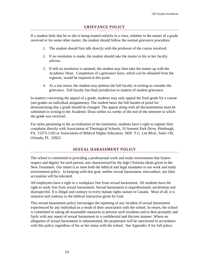#### **GRIEVANCE POLICY**

<span id="page-19-0"></span>If a student feels that he or she is being treated unfairly in a class, whether in the matter of a grade received or for some other matter, the student should follow the normal grievance procedure:

- 1. The student should first talk directly with the professor of the course involved.
- 2. If no resolution is made, the student should take the matter to his or her faculty advisor.
- 3. If still no resolution is attained, the student may then take the matter up with the Academic Dean. Completion of a grievance form, which can be obtained from the registrar, would be required at this point.
- 4. As a last resort, the student may petition the full faculty in writing to consider the grievance. Full faculty has final jurisdiction in matters of student grievance.

In matters concerning the appeal of a grade, students may only appeal the final grade for a course (not grades on individual assignments). The student bears the full burden of proof for demonstrating that a grade should be changed. The appeal along with all documentation must be submitted in writing to the Academic Dean within six weeks of the end of the semester in which the grade was received.

For items pertaining to the accreditation of the institution, students have a right to register their complaint directly with Association of Theological Schools, 10 Summit Park Drive, Pittsburgh, PA 15275-1103 or Association of Biblical Higher Education, 5850 T.G. Lee Blvd., Suite 130, Orlando, FL 32822.

# **SEXUAL HARASSMENT POLICY**

<span id="page-19-1"></span>The school is committed to providing a professional work and study environment that fosters respect and dignity for each person, one characterized by the high Christian ideals given in the New Testament. Our intent is to meet both the biblical and legal mandates in our work and study environment policy. In keeping with that goal, neither sexual harassment, misconduct, nor false accusation will be tolerated.

All employees have a right to a workplace free from sexual harassment. All students have the right to study free from sexual harassment. Sexual harassment is unprofessional, unchristian and disrespectful. It is illegal and contrary to every human rights statute in Canada. Most of all, it is immoral and contrary to the biblical instruction given by God.

This sexual harassment policy encourages the reporting of any incident of sexual harassment experienced by any individual as a result of their association with the school. In return, the school is committed to taking all reasonable measures to prevent such incidents and to deal promptly and fairly with any report of sexual harassment in a confidential and discreet manner. Where an allegation of sexual harassment is substantiated, the perpetrator will be sanctioned in accordance with this policy regardless of his or her status with the school. See Appendix A for full policy.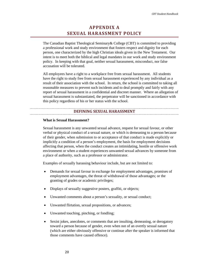# **APPENDIX A SEXUAL HARASSMENT POLICY**

<span id="page-20-0"></span>The Canadian Baptist Theological Seminary& College (CBT) is committed to providing a professional work and study environment that fosters respect and dignity for each person, one characterized by the high Christian ideals given in the New Testament. Our intent is to meet both the biblical and legal mandates in our work and study environment policy. In keeping with that goal, neither sexual harassment, misconduct, nor false accusation will be tolerated.

All employees have a right to a workplace free from sexual harassment. All students have the right to study free from sexual harassment experienced by any individual as a result of their association with the school. In return, the school is committed to taking all reasonable measures to prevent such incidents and to deal promptly and fairly with any report of sexual harassment in a confidential and discreet manner. Where an allegation of sexual harassment is substantiated, the perpetrator will be sanctioned in accordance with this policy regardless of his or her status with the school.

#### **DEFINING SEXUAL HARASSMENT**

#### <span id="page-20-1"></span>**What is Sexual Harassment?**

Sexual harassment is any unwanted sexual advance, request for sexual favour, or other verbal or physical conduct of a sexual nature, or which is demeaning to a person because of their gender, when submission to or acceptance of that conduct is made explicitly or implicitly a condition of a person's employment, the basis for employment decisions affecting that person, when the conduct creates an intimidating, hostile or offensive work environment or when a student experiences unwanted sexual advances by someone from a place of authority, such as a professor or administrator.

Examples of sexually harassing behaviour include, but are not limited to:

- Demands for sexual favour in exchange for employment advantages, promises of employment advantages, the threat of withdrawal of those advantages; or the granting of grades or academic privileges;
- Displays of sexually suggestive posters, graffiti, or objects;
- Unwanted comments about a person's sexuality, or sexual conduct;
- Unwanted flirtation, sexual propositions, or advances;
- Unwanted touching, pinching, or fondling;
- Sexist jokes, anecdotes, or comments that are insulting, demeaning, or derogatory toward a person because of gender, even when not of an overtly sexual nature (which are either obviously offensive or continue after the speaker is informed that those comments have caused offence).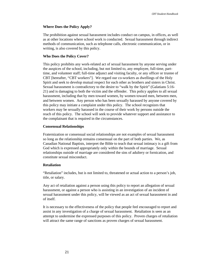#### **Where Does the Policy Apply?**

The prohibition against sexual harassment includes conduct on campus, in offices, as well as at other locations where school work is conducted. Sexual harassment through indirect methods of communication, such as telephone calls, electronic communication, or in writing, is also covered by this policy.

#### **Who Does the Policy Cover?**

This policy prohibits any work-related act of sexual harassment by anyone serving under the auspices of the school, including, but not limited to, any employee, full-time, parttime, and volunteer staff; full-time adjunct and visiting faculty, or any officer or trustee of CBT [hereafter, "CBT workers"]. We regard our co-workers as dwellings of the Holy Spirit and seek to develop mutual respect for each other as brothers and sisters in Christ. Sexual harassment is contradictory to the desire to "walk by the Spirit" (Galatians 5:16- 21) and is damaging to both the victim and the offender. This policy applies to all sexual harassment, including that by men toward women, by women toward men, between men, and between women. Any person who has been sexually harassed by anyone covered by this policy may initiate a complaint under this policy. The school recognizes that workers may be sexually harassed in the course of their work by persons outside the reach of this policy. The school will seek to provide whatever support and assistance to the complainant that is required in the circumstances.

#### **Consensual Relationships**

Fraternization or consensual social relationships are not examples of sexual harassment so long as the relationship remains consensual on the part of both parties. We, as Canadian National Baptists, interpret the Bible to teach that sexual intimacy is a gift from God which is expressed appropriately only within the bounds of marriage. Sexual relationships outside of marriage are considered the sins of adultery or fornication, and constitute sexual misconduct.

#### **Retaliation**

"Retaliation" includes, but is not limited to, threatened or actual action to a person's job, title, or salary.

Any act of retaliation against a person using this policy to report an allegation of sexual harassment, or against a person who is assisting in an investigation of an incident of sexual harassment under this policy, will be viewed as an act of sexual harassment in and of itself.

It is necessary to the effectiveness of the policy that people feel encouraged to report and assist in any investigation of a charge of sexual harassment. Retaliation is seen as an attempt to undermine the expressed purposes of this policy. Proven charges of retaliation will attract the same range of sanctions as proven charges of sexual harassment.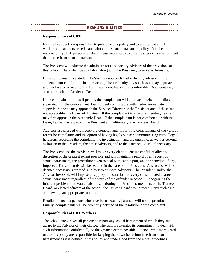#### **RESPONSIBILITIES**

#### <span id="page-22-0"></span>**Responsibilities of CBT**

It is the President's responsibility to publicize this policy and to ensure that all CBT workers and students are educated about this sexual harassment policy. It is the responsibility of all persons to take all reasonable steps to provide a working environment that is free from sexual harassment.

The President will educate the administrators and faculty advisors of the provisions of this policy. These shall be available, along with the President, to serve as Advisors.

If the complainant is a student, he/she may approach his/her faculty advisor. If the student is not comfortable in approaching his/her faculty advisor, he/she may approach another faculty advisor with whom the student feels more comfortable. A student may also approach the Academic Dean.

If the complainant is a staff person, the complainant will approach his/her immediate supervisor. If the complainant does not feel comfortable with his/her immediate supervisor, he/she may approach the Services Director or the President and, if these are not acceptable, the Board of Trustees. If the complainant is a faculty member, he/she may first approach the Academic Dean. If the complainant is not comfortable with the Dean, he/she may approach the President and, ultimately, the Trustees Board.

Advisors are charged with receiving complainants; informing complainants of the various forms for complaints and the option of having legal counsel; communicating with alleged harassers; recording the complaint, the investigation, and the outcome; as well as serving as liaison to the President, the other Advisors, and to the Trustees Board, if necessary.

The President and the Advisors will make every effort to ensure confidentiality and discretion of the greatest extent possible and will maintain a record of all reports of sexual harassment, the procedure taken to deal with each report, and the sanction, if any, imposed. These records will be secured in the care of the President. Any access will be deemed necessary, recorded, and by two or more Advisors. The President, and/or the Advisor involved, will impose an appropriate sanction for every substantiated charge of sexual harassment regardless of the status of the offender in school. Recognizing the inherent problem that would exist in sanctioning the President, members of the Trustee Board, or elected officers of the school, the Trustee Board would meet in any such case and develop an appropriate sanction.

Retaliation against persons who have been sexually harassed will not be permitted. Finally, complainants will be promptly notified of the resolution of the complaint.

#### **Responsibilities of CBT Workers**

The school encourages all persons to report any sexual harassment of which they are aware to the Advisor of their choice. The school reiterates its commitment to deal with such information confidentially to the greatest extent possible. Persons who are covered under this policy are responsible for keeping their own behaviour free from sexual harassment as it is defined in this policy and understood from the moral guidelines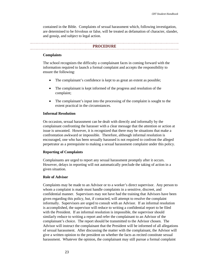contained in the Bible. Complaints of sexual harassment which, following investigation, are determined to be frivolous or false, will be treated as defamation of character, slander, and gossip, and subject to legal action.

#### **PROCEDURE**

#### <span id="page-23-0"></span>**Complaints**

The school recognizes the difficulty a complainant faces in coming forward with the information required to launch a formal complaint and accepts the responsibility to ensure the following:

- The complainant's confidence is kept to as great an extent as possible;
- The complainant is kept informed of the progress and resolution of the complaint;
- The complainant's input into the processing of the complaint is sought to the extent practical in the circumstances.

#### **Informal Resolution**

On occasion, sexual harassment can be dealt with directly and informally by the complainant confronting the harasser with a clear message that the attention or action at issue is unwanted. However, it is recognized that there may be situations that make a confrontation awkward or impossible. Therefore, although informal resolution is encouraged, one who has been sexually harassed is not required to confront the alleged perpetrator as a prerequisite to making a sexual harassment complaint under this policy.

#### **Reporting of Complaints**

Complainants are urged to report any sexual harassment promptly after it occurs. However, delays in reporting will not automatically preclude the taking of action in a given situation.

#### **Role of Advisor**

Complaints may be made to an Advisor or to a worker's direct supervisor. Any person to whom a complaint is made must handle complaints in a sensitive, discreet, and confidential manner. Supervisors may not have had the training that Advisors have been given regarding this policy, but, if contacted, will attempt to resolve the complaint informally. Supervisors are urged to consult with an Advisor. If an informal resolution is accomplished, the supervisor will reduce to writing a confidential report to be filed with the President. If an informal resolution is impossible, the supervisor should similarly reduce to writing a report and refer the complainant to an Advisor of the complainant's choice. The report should be transmitted to the Advisor chosen. The Advisor will instruct the complainant that the President will be informed of all allegations of sexual harassment. After discussing the matter with the complainant, the Advisor will give a written opinion to the president on whether the facts as recited constitute sexual harassment. Whatever the opinion, the complainant may still pursue a formal complaint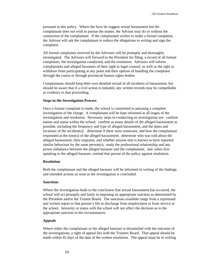pursuant to this policy. Where the facts do suggest sexual harassment but the complainant does not wish to pursue the matter, the Advisor may do so without the connection of the complainant. If the complainant wishes to make a formal complaint, the Advisor will ask the complainant to reduce the allegations to writing and sign the complaint.

All formal complaints received by the Advisors will be promptly and thoroughly investigated. The Advisors will forward to the President for filing, a record of all formal complaints, the investigation conducted, and the resolution. Advisors will inform complainants and alleged harassers of their right to legal counsel, as well as the right to withdraw from participating at any point and their options of handling the complaint through the courts or through provincial human rights bodies.

Complainants should keep their own detailed record of all incidents of harassment, but should be aware that if a civil action is initiated, any written records may be compellable as evidence in that proceeding.

#### **Steps in the Investigation Process**

Once a formal complaint is made, the school is committed to pursuing a complete investigation of the charge. A complainant will be kept informed at all stages of the investigation and resolution. Necessary steps in conducting an investigation are: confirm names and status within the school; confirm as many details of the alleged harassment as possible, including the frequency and type of alleged harassment, and the dates and locations of the incident(s); determine if there were witnesses, and how the complainant responded at the time(s) of the alleged harassment; determine who was told about the alleged harassment, their response, and whether anyone else is known to have reported similar behaviour by the same person(s); study the professional relationship and any power imbalance between the alleged harasser and the complainant; and when first speaking to the alleged harasser, remind that person of the policy against retaliation.

#### **Resolution**

Both the complainant and the alleged harasser will be informed in writing of the findings and intended actions as soon as the investigation is concluded.

#### **Sanctions**

Where the investigation leads to the conclusion that sexual harassment has occurred, the school will act promptly and fairly in imposing an appropriate sanction as determined by the President and/or the Trustee Board. The sanctions available range from a reprimand and written report to that person's file to discharge from employment or from service at the school. Seniority or status with the school will not affect the decision as to the appropriate sanction in the circumstances.

#### **Appeals**

Where either the complainant or the alleged harasser is dissatisfied with the outcome of the investigations, a right of appeal lies with the Trustees Board. That appeal should be made within 45 days of the date of the written resolution. The appeal must be in writing